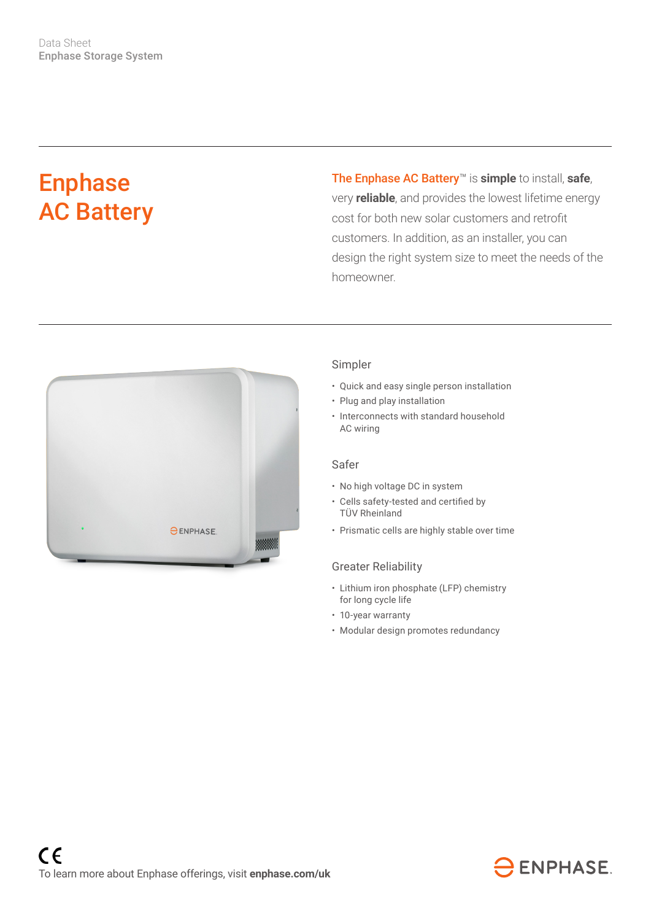# Enphase AC Battery

The Enphase AC Battery™ is **simple** to install, **safe**, very **reliable**, and provides the lowest lifetime energy cost for both new solar customers and retrofit customers. In addition, as an installer, you can design the right system size to meet the needs of the homeowner.



### Simpler

- Quick and easy single person installation
- Plug and play installation
- Interconnects with standard household AC wiring

#### Safer

- No high voltage DC in system
- • Cells safety-tested and certified by TÜV Rheinland
- Prismatic cells are highly stable over time

#### Greater Reliability

- Lithium iron phosphate (LFP) chemistry for long cycle life
- 10-year warranty
- Modular design promotes redundancy